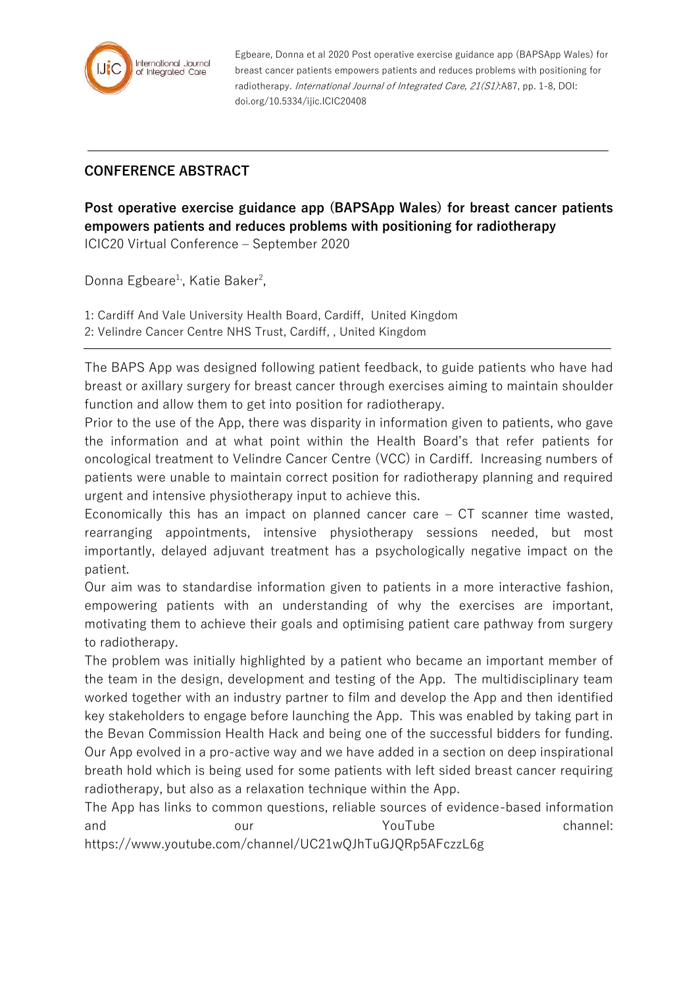

Egbeare, Donna et al 2020 Post operative exercise guidance app (BAPSApp Wales) for breast cancer patients empowers patients and reduces problems with positioning for radiotherapy. International Journal of Integrated Care, 21(S1):A87, pp. 1-8, DOI: doi.org/10.5334/ijic.ICIC20408

## **CONFERENCE ABSTRACT**

**Post operative exercise guidance app (BAPSApp Wales) for breast cancer patients empowers patients and reduces problems with positioning for radiotherapy** ICIC20 Virtual Conference – September 2020

Donna Egbeare<sup>1</sup>, Katie Baker<sup>2</sup>,

1: Cardiff And Vale University Health Board, Cardiff, United Kingdom 2: Velindre Cancer Centre NHS Trust, Cardiff, , United Kingdom

The BAPS App was designed following patient feedback, to guide patients who have had breast or axillary surgery for breast cancer through exercises aiming to maintain shoulder function and allow them to get into position for radiotherapy.

Prior to the use of the App, there was disparity in information given to patients, who gave the information and at what point within the Health Board's that refer patients for oncological treatment to Velindre Cancer Centre (VCC) in Cardiff. Increasing numbers of patients were unable to maintain correct position for radiotherapy planning and required urgent and intensive physiotherapy input to achieve this.

Economically this has an impact on planned cancer care – CT scanner time wasted, rearranging appointments, intensive physiotherapy sessions needed, but most importantly, delayed adjuvant treatment has a psychologically negative impact on the patient.

Our aim was to standardise information given to patients in a more interactive fashion, empowering patients with an understanding of why the exercises are important, motivating them to achieve their goals and optimising patient care pathway from surgery to radiotherapy.

The problem was initially highlighted by a patient who became an important member of the team in the design, development and testing of the App. The multidisciplinary team worked together with an industry partner to film and develop the App and then identified key stakeholders to engage before launching the App. This was enabled by taking part in the Bevan Commission Health Hack and being one of the successful bidders for funding. Our App evolved in a pro-active way and we have added in a section on deep inspirational breath hold which is being used for some patients with left sided breast cancer requiring radiotherapy, but also as a relaxation technique within the App.

The App has links to common questions, reliable sources of evidence-based information and our our YouTube channel: https://www.youtube.com/channel/UC21wQJhTuGJQRp5AFczzL6g